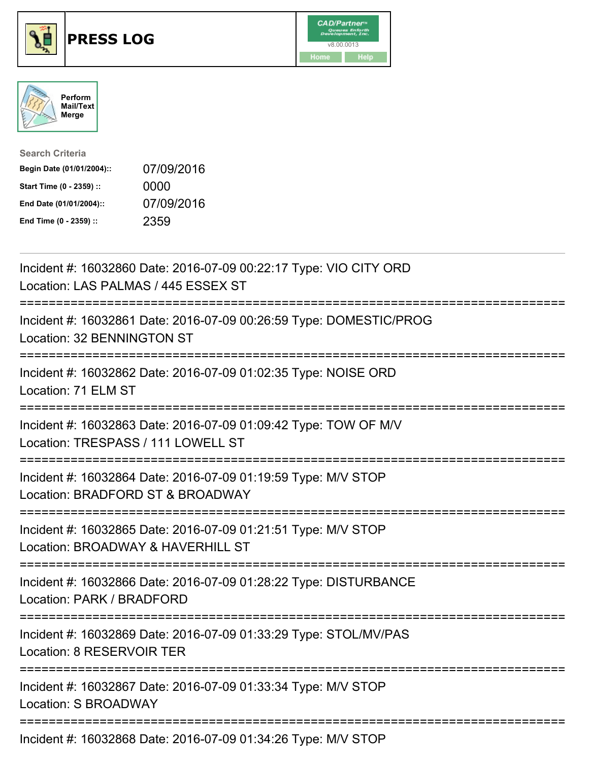





| <b>Search Criteria</b>    |            |
|---------------------------|------------|
| Begin Date (01/01/2004):: | 07/09/2016 |
| Start Time (0 - 2359) ::  | 0000       |
| End Date (01/01/2004)::   | 07/09/2016 |
| End Time (0 - 2359) ::    | 2359       |

| Incident #: 16032860 Date: 2016-07-09 00:22:17 Type: VIO CITY ORD<br>Location: LAS PALMAS / 445 ESSEX ST                               |
|----------------------------------------------------------------------------------------------------------------------------------------|
| Incident #: 16032861 Date: 2016-07-09 00:26:59 Type: DOMESTIC/PROG<br>Location: 32 BENNINGTON ST                                       |
| Incident #: 16032862 Date: 2016-07-09 01:02:35 Type: NOISE ORD<br>Location: 71 ELM ST                                                  |
| Incident #: 16032863 Date: 2016-07-09 01:09:42 Type: TOW OF M/V<br>Location: TRESPASS / 111 LOWELL ST                                  |
| Incident #: 16032864 Date: 2016-07-09 01:19:59 Type: M/V STOP<br>Location: BRADFORD ST & BROADWAY                                      |
| Incident #: 16032865 Date: 2016-07-09 01:21:51 Type: M/V STOP<br>Location: BROADWAY & HAVERHILL ST<br>;===========================     |
| Incident #: 16032866 Date: 2016-07-09 01:28:22 Type: DISTURBANCE<br>Location: PARK / BRADFORD                                          |
| .------------------------------------<br>Incident #: 16032869 Date: 2016-07-09 01:33:29 Type: STOL/MV/PAS<br>Location: 8 RESERVOIR TER |
| Incident #: 16032867 Date: 2016-07-09 01:33:34 Type: M/V STOP<br>Location: S BROADWAY                                                  |
| Incident #: 16032868 Date: 2016-07-09 01:34:26 Type: M/V STOP                                                                          |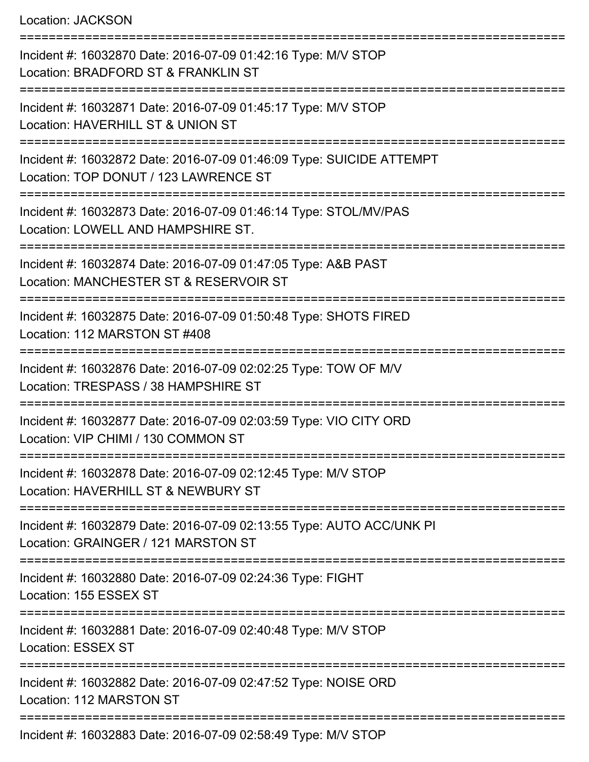Location: JACKSON

=========================================================================== Incident #: 16032870 Date: 2016-07-09 01:42:16 Type: M/V STOP Location: BRADFORD ST & FRANKLIN ST =========================================================================== Incident #: 16032871 Date: 2016-07-09 01:45:17 Type: M/V STOP Location: HAVERHILL ST & UNION ST =========================================================================== Incident #: 16032872 Date: 2016-07-09 01:46:09 Type: SUICIDE ATTEMPT Location: TOP DONUT / 123 LAWRENCE ST =========================================================================== Incident #: 16032873 Date: 2016-07-09 01:46:14 Type: STOL/MV/PAS Location: LOWELL AND HAMPSHIRE ST. =============================== Incident #: 16032874 Date: 2016-07-09 01:47:05 Type: A&B PAST Location: MANCHESTER ST & RESERVOIR ST =========================================================================== Incident #: 16032875 Date: 2016-07-09 01:50:48 Type: SHOTS FIRED Location: 112 MARSTON ST #408 =========================================================================== Incident #: 16032876 Date: 2016-07-09 02:02:25 Type: TOW OF M/V Location: TRESPASS / 38 HAMPSHIRE ST =========================================================================== Incident #: 16032877 Date: 2016-07-09 02:03:59 Type: VIO CITY ORD Location: VIP CHIMI / 130 COMMON ST =========================================================================== Incident #: 16032878 Date: 2016-07-09 02:12:45 Type: M/V STOP Location: HAVERHILL ST & NEWBURY ST =========================================================================== Incident #: 16032879 Date: 2016-07-09 02:13:55 Type: AUTO ACC/UNK PI Location: GRAINGER / 121 MARSTON ST =========================================================================== Incident #: 16032880 Date: 2016-07-09 02:24:36 Type: FIGHT Location: 155 ESSEX ST =========================================================================== Incident #: 16032881 Date: 2016-07-09 02:40:48 Type: M/V STOP Location: ESSEX ST =========================================================================== Incident #: 16032882 Date: 2016-07-09 02:47:52 Type: NOISE ORD Location: 112 MARSTON ST =========================================================================== Incident #: 16032883 Date: 2016-07-09 02:58:49 Type: M/V STOP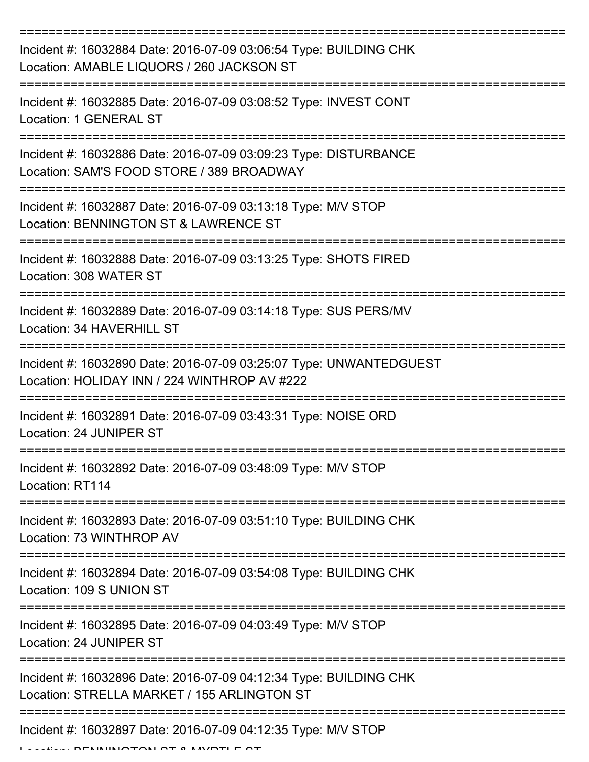| Incident #: 16032884 Date: 2016-07-09 03:06:54 Type: BUILDING CHK<br>Location: AMABLE LIQUORS / 260 JACKSON ST     |
|--------------------------------------------------------------------------------------------------------------------|
| Incident #: 16032885 Date: 2016-07-09 03:08:52 Type: INVEST CONT<br>Location: 1 GENERAL ST                         |
| Incident #: 16032886 Date: 2016-07-09 03:09:23 Type: DISTURBANCE<br>Location: SAM'S FOOD STORE / 389 BROADWAY      |
| Incident #: 16032887 Date: 2016-07-09 03:13:18 Type: M/V STOP<br>Location: BENNINGTON ST & LAWRENCE ST             |
| Incident #: 16032888 Date: 2016-07-09 03:13:25 Type: SHOTS FIRED<br>Location: 308 WATER ST                         |
| Incident #: 16032889 Date: 2016-07-09 03:14:18 Type: SUS PERS/MV<br>Location: 34 HAVERHILL ST                      |
| Incident #: 16032890 Date: 2016-07-09 03:25:07 Type: UNWANTEDGUEST<br>Location: HOLIDAY INN / 224 WINTHROP AV #222 |
| Incident #: 16032891 Date: 2016-07-09 03:43:31 Type: NOISE ORD<br>Location: 24 JUNIPER ST                          |
| Incident #: 16032892 Date: 2016-07-09 03:48:09 Type: M/V STOP<br>Location: RT114                                   |
| Incident #: 16032893 Date: 2016-07-09 03:51:10 Type: BUILDING CHK<br>Location: 73 WINTHROP AV                      |
| Incident #: 16032894 Date: 2016-07-09 03:54:08 Type: BUILDING CHK<br>Location: 109 S UNION ST                      |
| Incident #: 16032895 Date: 2016-07-09 04:03:49 Type: M/V STOP<br>Location: 24 JUNIPER ST                           |
| Incident #: 16032896 Date: 2016-07-09 04:12:34 Type: BUILDING CHK<br>Location: STRELLA MARKET / 155 ARLINGTON ST   |
| Incident #: 16032897 Date: 2016-07-09 04:12:35 Type: M/V STOP                                                      |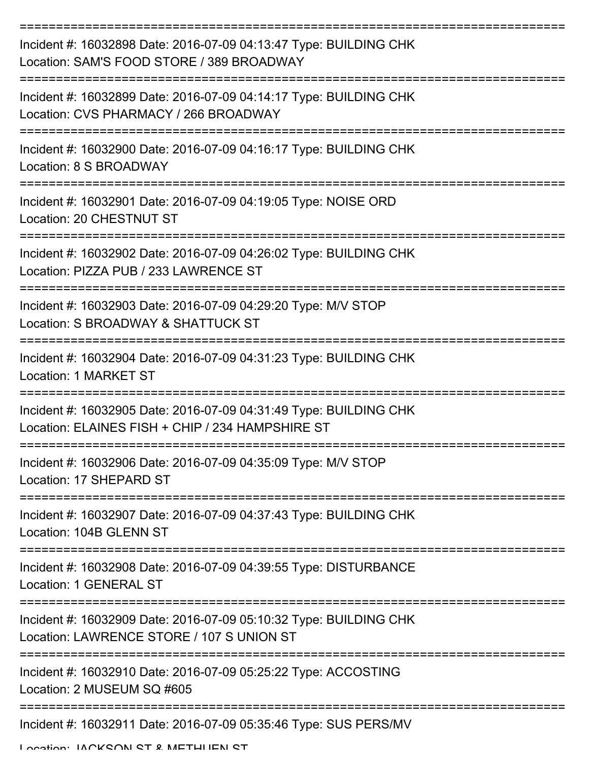| Incident #: 16032898 Date: 2016-07-09 04:13:47 Type: BUILDING CHK<br>Location: SAM'S FOOD STORE / 389 BROADWAY        |
|-----------------------------------------------------------------------------------------------------------------------|
| Incident #: 16032899 Date: 2016-07-09 04:14:17 Type: BUILDING CHK<br>Location: CVS PHARMACY / 266 BROADWAY            |
| Incident #: 16032900 Date: 2016-07-09 04:16:17 Type: BUILDING CHK<br>Location: 8 S BROADWAY                           |
| Incident #: 16032901 Date: 2016-07-09 04:19:05 Type: NOISE ORD<br>Location: 20 CHESTNUT ST                            |
| Incident #: 16032902 Date: 2016-07-09 04:26:02 Type: BUILDING CHK<br>Location: PIZZA PUB / 233 LAWRENCE ST            |
| Incident #: 16032903 Date: 2016-07-09 04:29:20 Type: M/V STOP<br>Location: S BROADWAY & SHATTUCK ST                   |
| Incident #: 16032904 Date: 2016-07-09 04:31:23 Type: BUILDING CHK<br><b>Location: 1 MARKET ST</b>                     |
| Incident #: 16032905 Date: 2016-07-09 04:31:49 Type: BUILDING CHK<br>Location: ELAINES FISH + CHIP / 234 HAMPSHIRE ST |
| Incident #: 16032906 Date: 2016-07-09 04:35:09 Type: M/V STOP<br>Location: 17 SHEPARD ST                              |
| Incident #: 16032907 Date: 2016-07-09 04:37:43 Type: BUILDING CHK<br>Location: 104B GLENN ST                          |
| Incident #: 16032908 Date: 2016-07-09 04:39:55 Type: DISTURBANCE<br>Location: 1 GENERAL ST                            |
| Incident #: 16032909 Date: 2016-07-09 05:10:32 Type: BUILDING CHK<br>Location: LAWRENCE STORE / 107 S UNION ST        |
| Incident #: 16032910 Date: 2016-07-09 05:25:22 Type: ACCOSTING<br>Location: 2 MUSEUM SQ #605                          |
| Incident #: 16032911 Date: 2016-07-09 05:35:46 Type: SUS PERS/MV                                                      |

Location: IACKSON ST & METHHEN ST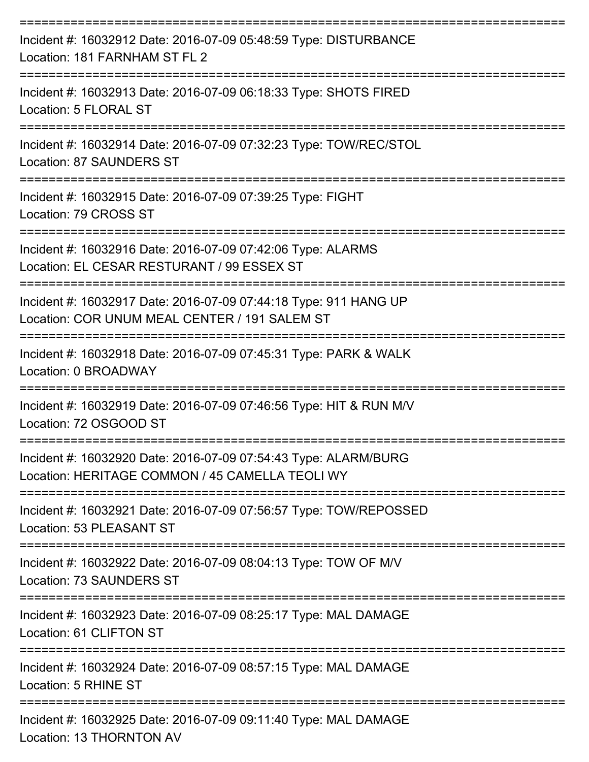| Incident #: 16032912 Date: 2016-07-09 05:48:59 Type: DISTURBANCE<br>Location: 181 FARNHAM ST FL 2<br>=============== |
|----------------------------------------------------------------------------------------------------------------------|
| Incident #: 16032913 Date: 2016-07-09 06:18:33 Type: SHOTS FIRED<br>Location: 5 FLORAL ST<br>-------------------     |
| Incident #: 16032914 Date: 2016-07-09 07:32:23 Type: TOW/REC/STOL<br><b>Location: 87 SAUNDERS ST</b>                 |
| Incident #: 16032915 Date: 2016-07-09 07:39:25 Type: FIGHT<br>Location: 79 CROSS ST                                  |
| Incident #: 16032916 Date: 2016-07-09 07:42:06 Type: ALARMS<br>Location: EL CESAR RESTURANT / 99 ESSEX ST            |
| Incident #: 16032917 Date: 2016-07-09 07:44:18 Type: 911 HANG UP<br>Location: COR UNUM MEAL CENTER / 191 SALEM ST    |
| Incident #: 16032918 Date: 2016-07-09 07:45:31 Type: PARK & WALK<br>Location: 0 BROADWAY                             |
| Incident #: 16032919 Date: 2016-07-09 07:46:56 Type: HIT & RUN M/V<br>Location: 72 OSGOOD ST                         |
| Incident #: 16032920 Date: 2016-07-09 07:54:43 Type: ALARM/BURG<br>Location: HERITAGE COMMON / 45 CAMELLA TEOLI WY   |
| Incident #: 16032921 Date: 2016-07-09 07:56:57 Type: TOW/REPOSSED<br>Location: 53 PLEASANT ST                        |
| Incident #: 16032922 Date: 2016-07-09 08:04:13 Type: TOW OF M/V<br>Location: 73 SAUNDERS ST                          |
| Incident #: 16032923 Date: 2016-07-09 08:25:17 Type: MAL DAMAGE<br>Location: 61 CLIFTON ST                           |
| Incident #: 16032924 Date: 2016-07-09 08:57:15 Type: MAL DAMAGE<br>Location: 5 RHINE ST                              |
| Incident #: 16032925 Date: 2016-07-09 09:11:40 Type: MAL DAMAGE<br>Location: 13 THORNTON AV                          |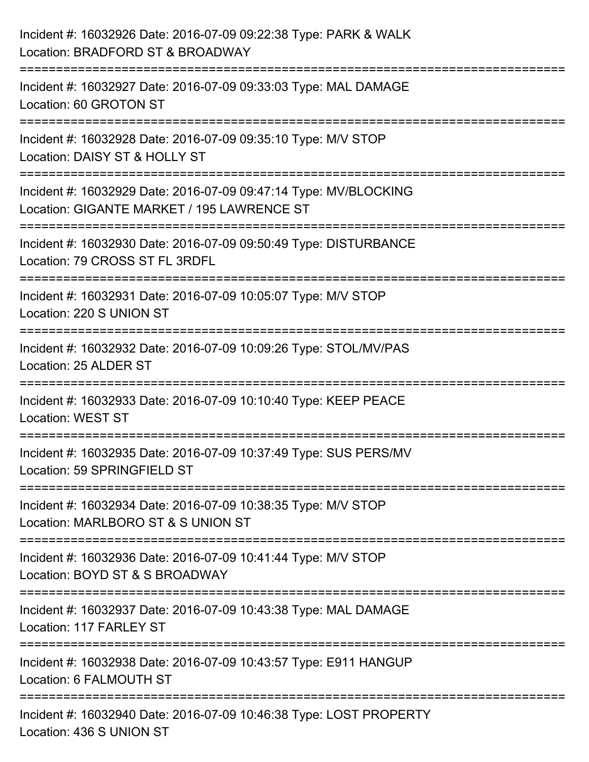| Incident #: 16032926 Date: 2016-07-09 09:22:38 Type: PARK & WALK<br>Location: BRADFORD ST & BROADWAY                       |
|----------------------------------------------------------------------------------------------------------------------------|
| =======================<br>Incident #: 16032927 Date: 2016-07-09 09:33:03 Type: MAL DAMAGE<br>Location: 60 GROTON ST       |
| Incident #: 16032928 Date: 2016-07-09 09:35:10 Type: M/V STOP<br>Location: DAISY ST & HOLLY ST<br>======================   |
| Incident #: 16032929 Date: 2016-07-09 09:47:14 Type: MV/BLOCKING<br>Location: GIGANTE MARKET / 195 LAWRENCE ST             |
| Incident #: 16032930 Date: 2016-07-09 09:50:49 Type: DISTURBANCE<br>Location: 79 CROSS ST FL 3RDFL                         |
| Incident #: 16032931 Date: 2016-07-09 10:05:07 Type: M/V STOP<br>Location: 220 S UNION ST                                  |
| Incident #: 16032932 Date: 2016-07-09 10:09:26 Type: STOL/MV/PAS<br>Location: 25 ALDER ST<br>----------------------------- |
| Incident #: 16032933 Date: 2016-07-09 10:10:40 Type: KEEP PEACE<br><b>Location: WEST ST</b>                                |
| Incident #: 16032935 Date: 2016-07-09 10:37:49 Type: SUS PERS/MV<br>Location: 59 SPRINGFIELD ST                            |
| Incident #: 16032934 Date: 2016-07-09 10:38:35 Type: M/V STOP<br>Location: MARLBORO ST & S UNION ST                        |
| Incident #: 16032936 Date: 2016-07-09 10:41:44 Type: M/V STOP<br>Location: BOYD ST & S BROADWAY                            |
| Incident #: 16032937 Date: 2016-07-09 10:43:38 Type: MAL DAMAGE<br>Location: 117 FARLEY ST                                 |
| Incident #: 16032938 Date: 2016-07-09 10:43:57 Type: E911 HANGUP<br>Location: 6 FALMOUTH ST                                |
| Incident #: 16032940 Date: 2016-07-09 10:46:38 Type: LOST PROPERTY<br>Location: 436 S UNION ST                             |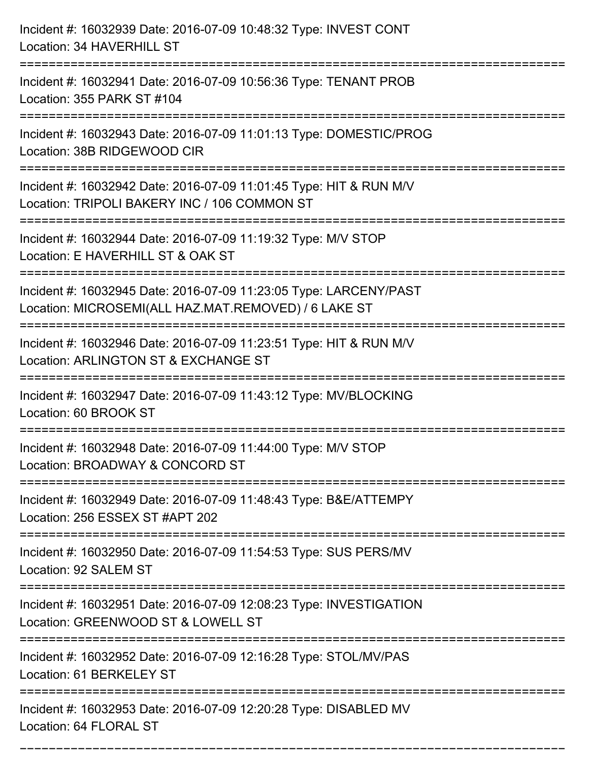| Incident #: 16032939 Date: 2016-07-09 10:48:32 Type: INVEST CONT<br>Location: 34 HAVERHILL ST                                                             |
|-----------------------------------------------------------------------------------------------------------------------------------------------------------|
| ==============================<br>Incident #: 16032941 Date: 2016-07-09 10:56:36 Type: TENANT PROB<br>Location: 355 PARK ST #104                          |
| Incident #: 16032943 Date: 2016-07-09 11:01:13 Type: DOMESTIC/PROG<br>Location: 38B RIDGEWOOD CIR<br>======================================               |
| Incident #: 16032942 Date: 2016-07-09 11:01:45 Type: HIT & RUN M/V<br>Location: TRIPOLI BAKERY INC / 106 COMMON ST<br>=================================== |
| Incident #: 16032944 Date: 2016-07-09 11:19:32 Type: M/V STOP<br>Location: E HAVERHILL ST & OAK ST                                                        |
| Incident #: 16032945 Date: 2016-07-09 11:23:05 Type: LARCENY/PAST<br>Location: MICROSEMI(ALL HAZ.MAT.REMOVED) / 6 LAKE ST                                 |
| Incident #: 16032946 Date: 2016-07-09 11:23:51 Type: HIT & RUN M/V<br>Location: ARLINGTON ST & EXCHANGE ST                                                |
| Incident #: 16032947 Date: 2016-07-09 11:43:12 Type: MV/BLOCKING<br>Location: 60 BROOK ST                                                                 |
| Incident #: 16032948 Date: 2016-07-09 11:44:00 Type: M/V STOP<br>Location: BROADWAY & CONCORD ST                                                          |
| Incident #: 16032949 Date: 2016-07-09 11:48:43 Type: B&E/ATTEMPY<br>Location: 256 ESSEX ST #APT 202                                                       |
| Incident #: 16032950 Date: 2016-07-09 11:54:53 Type: SUS PERS/MV<br>Location: 92 SALEM ST                                                                 |
| Incident #: 16032951 Date: 2016-07-09 12:08:23 Type: INVESTIGATION<br>Location: GREENWOOD ST & LOWELL ST                                                  |
| Incident #: 16032952 Date: 2016-07-09 12:16:28 Type: STOL/MV/PAS<br>Location: 61 BERKELEY ST                                                              |
| Incident #: 16032953 Date: 2016-07-09 12:20:28 Type: DISABLED MV<br>Location: 64 FLORAL ST                                                                |

===========================================================================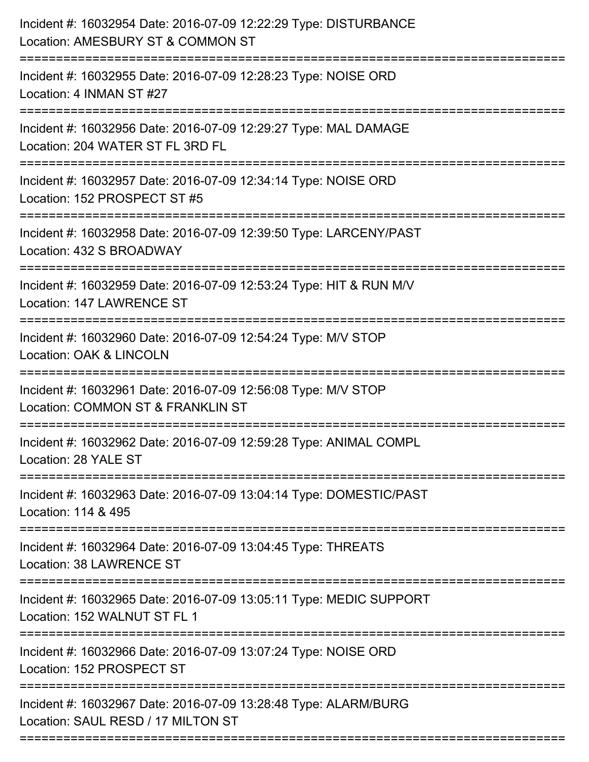| Incident #: 16032954 Date: 2016-07-09 12:22:29 Type: DISTURBANCE<br>Location: AMESBURY ST & COMMON ST                                           |
|-------------------------------------------------------------------------------------------------------------------------------------------------|
| ==============================<br>Incident #: 16032955 Date: 2016-07-09 12:28:23 Type: NOISE ORD<br>Location: 4 INMAN ST #27<br>--------------- |
| Incident #: 16032956 Date: 2016-07-09 12:29:27 Type: MAL DAMAGE<br>Location: 204 WATER ST FL 3RD FL                                             |
| Incident #: 16032957 Date: 2016-07-09 12:34:14 Type: NOISE ORD<br>Location: 152 PROSPECT ST #5                                                  |
| Incident #: 16032958 Date: 2016-07-09 12:39:50 Type: LARCENY/PAST<br>Location: 432 S BROADWAY                                                   |
| Incident #: 16032959 Date: 2016-07-09 12:53:24 Type: HIT & RUN M/V<br>Location: 147 LAWRENCE ST                                                 |
| Incident #: 16032960 Date: 2016-07-09 12:54:24 Type: M/V STOP<br>Location: OAK & LINCOLN                                                        |
| Incident #: 16032961 Date: 2016-07-09 12:56:08 Type: M/V STOP<br>Location: COMMON ST & FRANKLIN ST                                              |
| Incident #: 16032962 Date: 2016-07-09 12:59:28 Type: ANIMAL COMPL<br>Location: 28 YALE ST                                                       |
| Incident #: 16032963 Date: 2016-07-09 13:04:14 Type: DOMESTIC/PAST<br>Location: 114 & 495                                                       |
| Incident #: 16032964 Date: 2016-07-09 13:04:45 Type: THREATS<br>Location: 38 LAWRENCE ST                                                        |
| Incident #: 16032965 Date: 2016-07-09 13:05:11 Type: MEDIC SUPPORT<br>Location: 152 WALNUT ST FL 1                                              |
| Incident #: 16032966 Date: 2016-07-09 13:07:24 Type: NOISE ORD<br>Location: 152 PROSPECT ST                                                     |
| Incident #: 16032967 Date: 2016-07-09 13:28:48 Type: ALARM/BURG<br>Location: SAUL RESD / 17 MILTON ST                                           |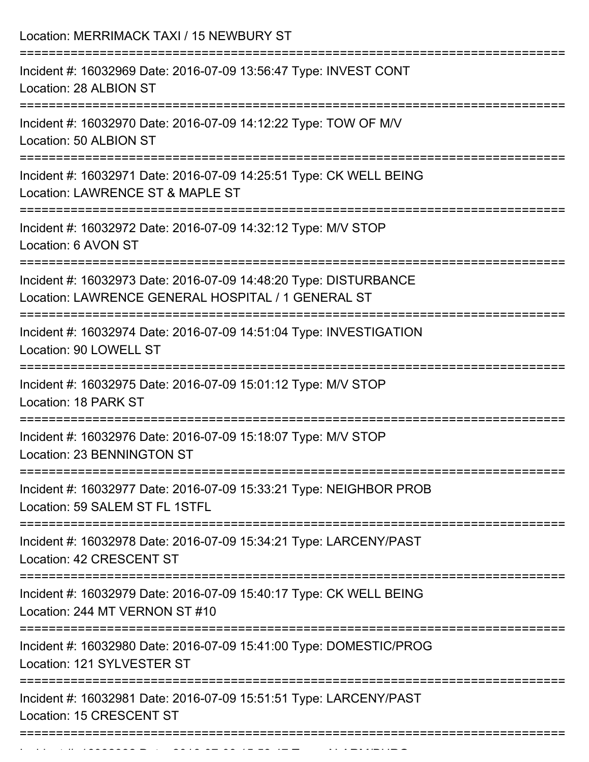| Location: MERRIMACK TAXI / 15 NEWBURY ST<br>--------------------------                                                           |
|----------------------------------------------------------------------------------------------------------------------------------|
| Incident #: 16032969 Date: 2016-07-09 13:56:47 Type: INVEST CONT<br>Location: 28 ALBION ST                                       |
| Incident #: 16032970 Date: 2016-07-09 14:12:22 Type: TOW OF M/V<br>Location: 50 ALBION ST<br>----------------------------------- |
| Incident #: 16032971 Date: 2016-07-09 14:25:51 Type: CK WELL BEING<br>Location: LAWRENCE ST & MAPLE ST                           |
| Incident #: 16032972 Date: 2016-07-09 14:32:12 Type: M/V STOP<br>Location: 6 AVON ST<br>----------------------------------       |
| Incident #: 16032973 Date: 2016-07-09 14:48:20 Type: DISTURBANCE<br>Location: LAWRENCE GENERAL HOSPITAL / 1 GENERAL ST           |
| Incident #: 16032974 Date: 2016-07-09 14:51:04 Type: INVESTIGATION<br>Location: 90 LOWELL ST                                     |
| Incident #: 16032975 Date: 2016-07-09 15:01:12 Type: M/V STOP<br>Location: 18 PARK ST                                            |
| ==============<br>Incident #: 16032976 Date: 2016-07-09 15:18:07 Type: M/V STOP<br>Location: 23 BENNINGTON ST                    |
| Incident #: 16032977 Date: 2016-07-09 15:33:21 Type: NEIGHBOR PROB<br>Location: 59 SALEM ST FL 1STFL                             |
| Incident #: 16032978 Date: 2016-07-09 15:34:21 Type: LARCENY/PAST<br>Location: 42 CRESCENT ST                                    |
| Incident #: 16032979 Date: 2016-07-09 15:40:17 Type: CK WELL BEING<br>Location: 244 MT VERNON ST #10                             |
| Incident #: 16032980 Date: 2016-07-09 15:41:00 Type: DOMESTIC/PROG<br>Location: 121 SYLVESTER ST                                 |
| Incident #: 16032981 Date: 2016-07-09 15:51:51 Type: LARCENY/PAST<br>Location: 15 CRESCENT ST                                    |

Incident #: 16032982 Date: 2016 07 09 15:58:59 Type: 2016 07 15:58:47 Type: 47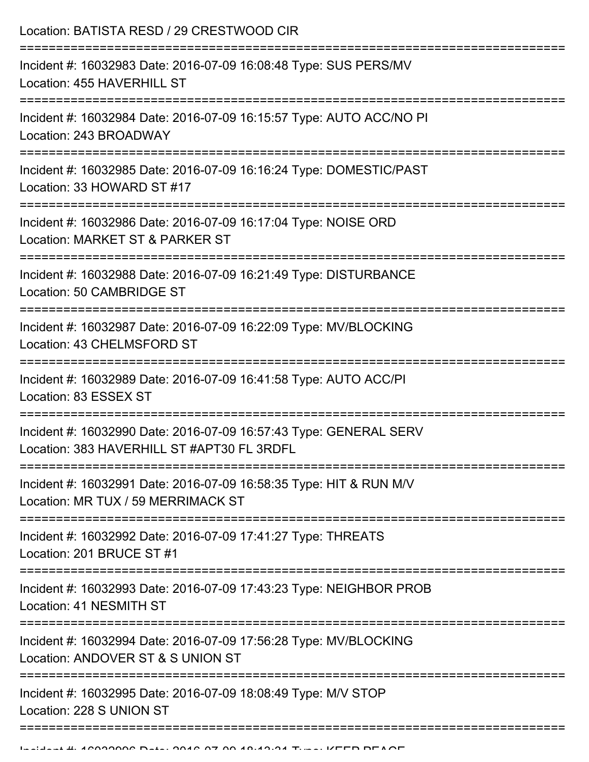| Location: BATISTA RESD / 29 CRESTWOOD CIR                                                                       |
|-----------------------------------------------------------------------------------------------------------------|
| Incident #: 16032983 Date: 2016-07-09 16:08:48 Type: SUS PERS/MV<br>Location: 455 HAVERHILL ST                  |
| Incident #: 16032984 Date: 2016-07-09 16:15:57 Type: AUTO ACC/NO PI<br>Location: 243 BROADWAY                   |
| Incident #: 16032985 Date: 2016-07-09 16:16:24 Type: DOMESTIC/PAST<br>Location: 33 HOWARD ST #17                |
| Incident #: 16032986 Date: 2016-07-09 16:17:04 Type: NOISE ORD<br>Location: MARKET ST & PARKER ST               |
| Incident #: 16032988 Date: 2016-07-09 16:21:49 Type: DISTURBANCE<br>Location: 50 CAMBRIDGE ST                   |
| Incident #: 16032987 Date: 2016-07-09 16:22:09 Type: MV/BLOCKING<br>Location: 43 CHELMSFORD ST                  |
| Incident #: 16032989 Date: 2016-07-09 16:41:58 Type: AUTO ACC/PI<br>Location: 83 ESSEX ST                       |
| Incident #: 16032990 Date: 2016-07-09 16:57:43 Type: GENERAL SERV<br>Location: 383 HAVERHILL ST #APT30 FL 3RDFL |
| Incident #: 16032991 Date: 2016-07-09 16:58:35 Type: HIT & RUN M/V<br>Location: MR TUX / 59 MERRIMACK ST        |
| Incident #: 16032992 Date: 2016-07-09 17:41:27 Type: THREATS<br>Location: 201 BRUCE ST #1                       |
| Incident #: 16032993 Date: 2016-07-09 17:43:23 Type: NEIGHBOR PROB<br>Location: 41 NESMITH ST                   |
| Incident #: 16032994 Date: 2016-07-09 17:56:28 Type: MV/BLOCKING<br>Location: ANDOVER ST & S UNION ST           |
| Incident #: 16032995 Date: 2016-07-09 18:08:49 Type: M/V STOP<br>Location: 228 S UNION ST                       |
|                                                                                                                 |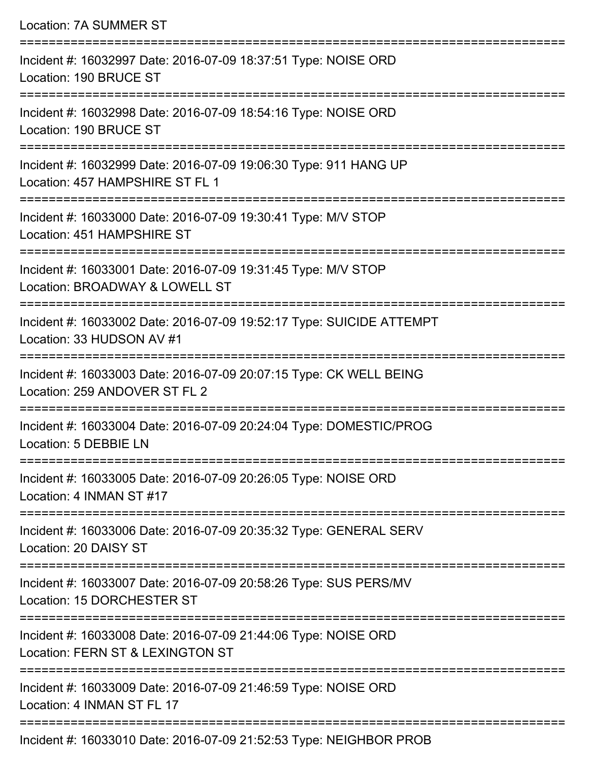| <b>Location: 7A SUMMER ST</b>                                                                       |
|-----------------------------------------------------------------------------------------------------|
| Incident #: 16032997 Date: 2016-07-09 18:37:51 Type: NOISE ORD<br>Location: 190 BRUCE ST            |
| Incident #: 16032998 Date: 2016-07-09 18:54:16 Type: NOISE ORD<br>Location: 190 BRUCE ST            |
| Incident #: 16032999 Date: 2016-07-09 19:06:30 Type: 911 HANG UP<br>Location: 457 HAMPSHIRE ST FL 1 |
| Incident #: 16033000 Date: 2016-07-09 19:30:41 Type: M/V STOP<br>Location: 451 HAMPSHIRE ST         |
| Incident #: 16033001 Date: 2016-07-09 19:31:45 Type: M/V STOP<br>Location: BROADWAY & LOWELL ST     |
| Incident #: 16033002 Date: 2016-07-09 19:52:17 Type: SUICIDE ATTEMPT<br>Location: 33 HUDSON AV #1   |
| Incident #: 16033003 Date: 2016-07-09 20:07:15 Type: CK WELL BEING<br>Location: 259 ANDOVER ST FL 2 |
| Incident #: 16033004 Date: 2016-07-09 20:24:04 Type: DOMESTIC/PROG<br>Location: 5 DEBBIE LN         |
| Incident #: 16033005 Date: 2016-07-09 20:26:05 Type: NOISE ORD<br>Location: 4 INMAN ST #17          |
| Incident #: 16033006 Date: 2016-07-09 20:35:32 Type: GENERAL SERV<br>Location: 20 DAISY ST          |
| Incident #: 16033007 Date: 2016-07-09 20:58:26 Type: SUS PERS/MV<br>Location: 15 DORCHESTER ST      |
| Incident #: 16033008 Date: 2016-07-09 21:44:06 Type: NOISE ORD<br>Location: FERN ST & LEXINGTON ST  |
| Incident #: 16033009 Date: 2016-07-09 21:46:59 Type: NOISE ORD<br>Location: 4 INMAN ST FL 17        |

Incident #: 16033010 Date: 2016-07-09 21:52:53 Type: NEIGHBOR PROB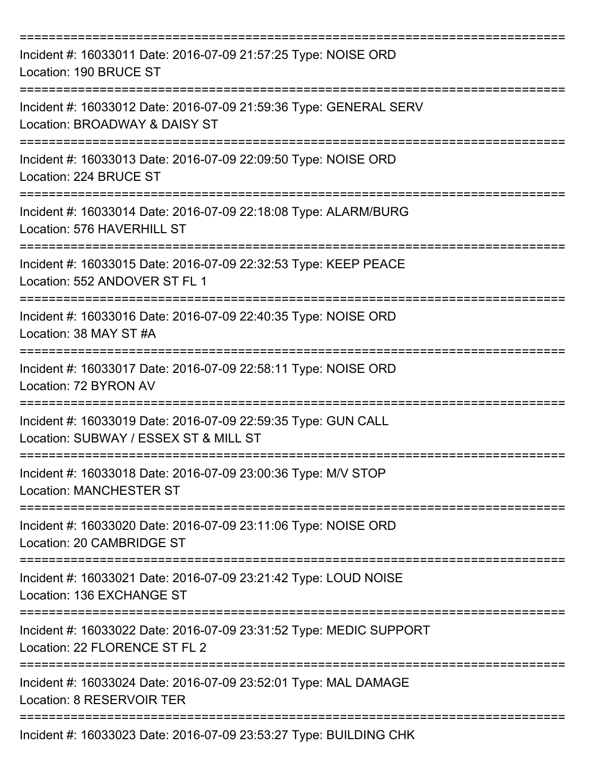| Incident #: 16033011 Date: 2016-07-09 21:57:25 Type: NOISE ORD<br>Location: 190 BRUCE ST               |
|--------------------------------------------------------------------------------------------------------|
| Incident #: 16033012 Date: 2016-07-09 21:59:36 Type: GENERAL SERV<br>Location: BROADWAY & DAISY ST     |
| Incident #: 16033013 Date: 2016-07-09 22:09:50 Type: NOISE ORD<br>Location: 224 BRUCE ST               |
| Incident #: 16033014 Date: 2016-07-09 22:18:08 Type: ALARM/BURG<br>Location: 576 HAVERHILL ST          |
| Incident #: 16033015 Date: 2016-07-09 22:32:53 Type: KEEP PEACE<br>Location: 552 ANDOVER ST FL 1       |
| Incident #: 16033016 Date: 2016-07-09 22:40:35 Type: NOISE ORD<br>Location: 38 MAY ST #A               |
| Incident #: 16033017 Date: 2016-07-09 22:58:11 Type: NOISE ORD<br>Location: 72 BYRON AV                |
| Incident #: 16033019 Date: 2016-07-09 22:59:35 Type: GUN CALL<br>Location: SUBWAY / ESSEX ST & MILL ST |
| Incident #: 16033018 Date: 2016-07-09 23:00:36 Type: M/V STOP<br><b>Location: MANCHESTER ST</b>        |
| Incident #: 16033020 Date: 2016-07-09 23:11:06 Type: NOISE ORD<br>Location: 20 CAMBRIDGE ST            |
| Incident #: 16033021 Date: 2016-07-09 23:21:42 Type: LOUD NOISE<br>Location: 136 EXCHANGE ST           |
| Incident #: 16033022 Date: 2016-07-09 23:31:52 Type: MEDIC SUPPORT<br>Location: 22 FLORENCE ST FL 2    |
| Incident #: 16033024 Date: 2016-07-09 23:52:01 Type: MAL DAMAGE<br>Location: 8 RESERVOIR TER           |
| Incident #: 16033023 Date: 2016-07-09 23:53:27 Type: BUILDING CHK                                      |